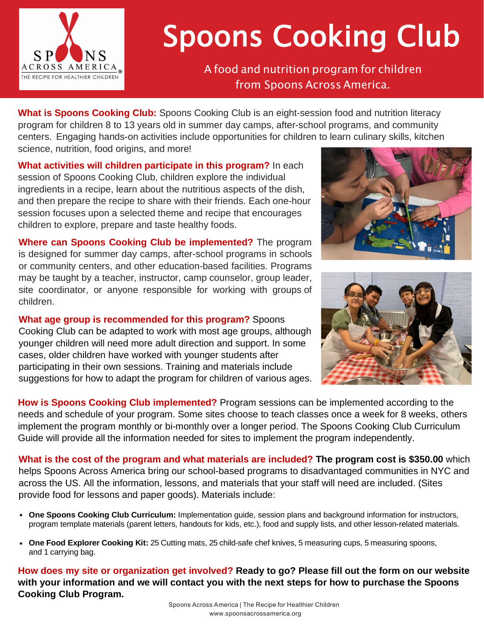

# Spoons Cooking Club<br>A food and nutrition program for children

from Spoons Across America.

What is Spoons Cooking Club: Spoons Cooking Club is an eight-session food and nutrition literacy program for children 8 to 13 years old in summer day camps, after-school programs, and community centers. Engaging hands-on activities include opportunities for children to learn culinary skills, kitchen science, nutrition, food origins, and more!

**What activities will children participate in this program?** In each session of Spoons Cooking Club, children explore the individual ingredients in a recipe, learn about the nutritious aspects of the dish, and then prepare the recipe to share with their friends. Each one-hour session focuses upon a selected theme and recipe that encourages children to explore, prepare and taste healthy foods.

**Where can Spoons Cooking Club be implemented?** The program is designed for summer day camps, after-school programs in schools or community centers, and other education-based facilities. Programs may be taught by a teacher, instructor, camp counselor, group leader, site coordinator, or anyone responsible for working with groups of children.

**What age group is recommended for this program?** Spoons Cooking Club can be adapted to work with most age groups, although younger children will need more adult direction and support. In some cases, older children have worked with younger students after participating in their own sessions. Training and materials include suggestions for how to adapt the program for children of various ages.





**How is Spoons Cooking Club implemented?** Program sessions can be implemented according to the needs and schedule of your program. Some sites choose to teach classes once a week for 8 weeks, others implement the program monthly or bi-monthly over a longer period. The Spoons Cooking Club Curriculum Guide will provide all the information needed for sites to implement the program independently.

**What is the cost of the program and what materials are included? The program cost is \$350.00** which helps Spoons Across America bring our school-based programs to disadvantaged communities in NYC and across the US. All the information, lessons, and materials that your staff will need are included. (Sites provide food for lessons and paper goods). Materials include:

- **One Spoons Cooking Club Curriculum:** Implementation guide, session plans and background information for instructors, program template materials (parent letters, handouts for kids, etc.), food and supply lists, and other lesson-related materials.
- **One Food Explorer Cooking Kit:** 25 Cutting mats, 25 child-safe chef knives, 5 measuring cups, 5 measuring spoons, and 1 carrying bag.

**How does my site or organization get involved? Ready to go? Please fill out the form on our website with your information and we will contact you with the next steps for how to purchase the Spoons Cooking Club Program.**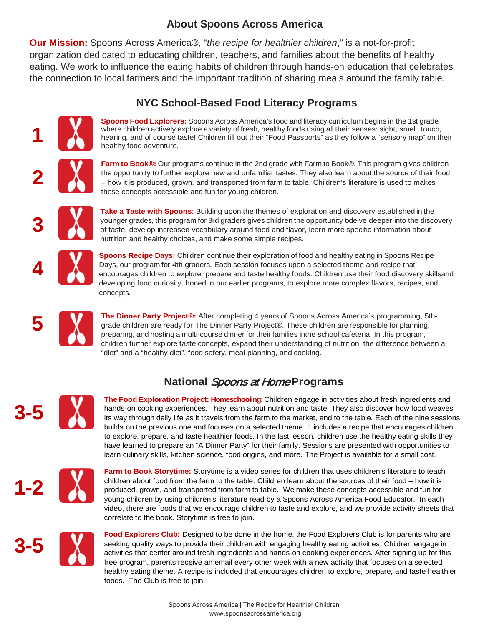## **About Spoons Across America**

**Our Mission:** Spoons Across America®, "*the recipe for healthier children*," is a not-for-profit organization dedicated to educating children, teachers, and families about the benefits of healthy eating. We work to influence the eating habits of children through hands-on education that celebrates the connection to local farmers and the important tradition of sharing meals around the family table.

## **NYC School-Based Food Literacy Programs**



**Spoons Food Explorers:** Spoons Across America's food and literacy curriculum begins in the 1st grade where children actively explore a variety of fresh, healthy foods using all their senses: sight, smell, touch, hearing, and of course taste! Children fill out their "Food Passports" as they follow a "sensory map" on their healthy food adventure.

**Farm to Book®:** Our programs continue in the 2nd grade with Farm to Book®. This program gives children the opportunity to further explore new and unfamiliar tastes. They also learn about the source of their food – how it is produced, grown, and transported from farm to table. Children's literature is used to makes these concepts accessible and fun for young children.



**Take a Taste with Spoons**: Building upon the themes of exploration and discovery established in the younger grades, this program for 3rd graders gives children the opportunity todelve deeper into the discovery of taste, develop increased vocabulary around food and flavor, learn more specific information about nutrition and healthy choices, and make some simple recipes.



**4**

**Spoons Recipe Days**: Children continue their exploration of food and healthy eating in Spoons Recipe Days, our program for 4th graders. Each session focuses upon a selected theme and recipe that encourages children to explore, prepare and taste healthy foods. Children use their food discovery skillsand developing food curiosity, honed in our earlier programs, to explore more complex flavors, recipes, and concepts.



**The Dinner Party Project®:** After completing 4 years of Spoons Across America's programming, 5thgrade children are ready for The Dinner Party Project®. These children are responsible for planning, preparing, and hosting a multi-course dinner for their families inthe school cafeteria. In this program, children further explore taste concepts, expand their understanding of nutrition, the difference between a "diet" and a "healthy diet", food safety, meal planning, and cooking.

# **National** Spoons at Home **Programs**



**The Food Exploration Project: Homeschooling:** Children engage in activities about fresh ingredients and hands-on cooking experiences. They learn about nutrition and taste. They also discover how food weaves its way through daily life as it travels from the farm to the market, and to the table. Each of the nine sessions builds on the previous one and focuses on a selected theme. It includes a recipe that encourages children to explore, prepare, and taste healthier foods. In the last lesson, children use the healthy eating skills they have learned to prepare an "A Dinner Party" for their family. Sessions are presented with opportunities to learn culinary skills, kitchen science, food origins, and more. The Project is available for a small cost.



**Farm to Book Storytime:** Storytime is a video series for children that uses children's literature to teach children about food from the farm to the table. Children learn about the sources of their food – how it is produced, grown, and transported from farm to table. We make these concepts accessible and fun for young children by using children's literature read by a Spoons Across America Food Educator. In each video, there are foods that we encourage children to taste and explore, and we provide activity sheets that correlate to the book. Storytime is free to join.



**Food Explorers Club:** Designed to be done in the home, the Food Explorers Club is for parents who are seeking quality ways to provide their children with engaging healthy eating activities. Children engage in activities that center around fresh ingredients and hands-on cooking experiences. After signing up for this free program, parents receive an email every other week with a new activity that focuses on a selected healthy eating theme. A recipe is included that encourages children to explore, prepare, and taste healthier foods. The Club is free to join.